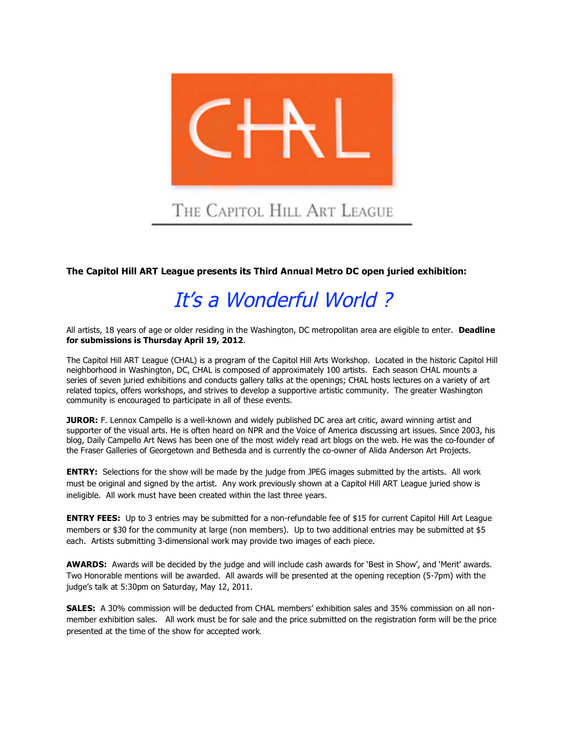

## **The Capitol Hill ART League presents its Third Annual Metro DC open juried exhibition:**

## It's a Wonderful World ?

All artists, 18 years of age or older residing in the Washington, DC metropolitan area are eligible to enter. **Deadline for submissions is Thursday April 19, 2012**.

The Capitol Hill ART League (CHAL) is a program of the Capitol Hill Arts Workshop. Located in the historic Capitol Hill neighborhood in Washington, DC, CHAL is composed of approximately 100 artists. Each season CHAL mounts a series of seven juried exhibitions and conducts gallery talks at the openings; CHAL hosts lectures on a variety of art related topics, offers workshops, and strives to develop a supportive artistic community. The greater Washington community is encouraged to participate in all of these events.

**JUROR:** F. Lennox Campello is a well-known and widely published DC area art critic, award winning artist and supporter of the visual arts. He is often heard on NPR and the Voice of America discussing art issues. Since 2003, his blog, Daily Campello Art News has been one of the most widely read art blogs on the web. He was the co-founder of the Fraser Galleries of Georgetown and Bethesda and is currently the co-owner of Alida Anderson Art Projects.

**ENTRY:** Selections for the show will be made by the judge from JPEG images submitted by the artists. All work must be original and signed by the artist. Any work previously shown at a Capitol Hill ART League juried show is ineligible. All work must have been created within the last three years.

**ENTRY FEES:** Up to 3 entries may be submitted for a non-refundable fee of \$15 for current Capitol Hill Art League members or \$30 for the community at large (non members). Up to two additional entries may be submitted at \$5 each. Artists submitting 3-dimensional work may provide two images of each piece.

**AWARDS:** Awards will be decided by the judge and will include cash awards for 'Best in Show', and 'Merit' awards. Two Honorable mentions will be awarded. All awards will be presented at the opening reception (5-7pm) with the judge's talk at 5:30pm on Saturday, May 12, 2011.

**SALES:** A 30% commission will be deducted from CHAL members' exhibition sales and 35% commission on all nonmember exhibition sales. All work must be for sale and the price submitted on the registration form will be the price presented at the time of the show for accepted work.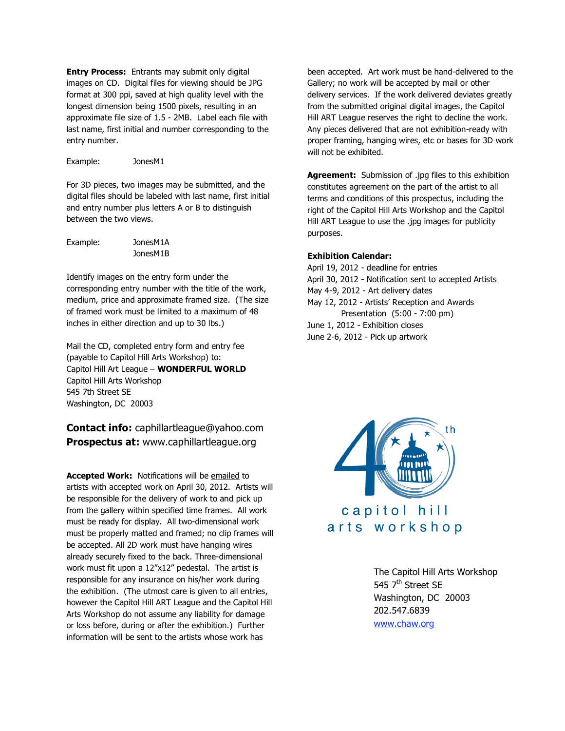**Entry Process:** Entrants may submit only digital images on CD. Digital files for viewing should be JPG format at 300 ppi, saved at high quality level with the longest dimension being 1500 pixels, resulting in an approximate file size of 1.5 - 2MB. Label each file with last name, first initial and number corresponding to the entry number.

Example: JonesM1

For 3D pieces, two images may be submitted, and the digital files should be labeled with last name, first initial and entry number plus letters A or B to distinguish between the two views.

Example: JonesM1A JonesM1B

Identify images on the entry form under the corresponding entry number with the title of the work, medium, price and approximate framed size. (The size of framed work must be limited to a maximum of 48 inches in either direction and up to 30 lbs.)

Mail the CD, completed entry form and entry fee (payable to Capitol Hill Arts Workshop) to: Capitol Hill Art League – **WONDERFUL WORLD**  Capitol Hill Arts Workshop 545 7th Street SE Washington, DC 20003

## **Contact info:** caphillartleague@yahoo.com **Prospectus at:** www.caphillartleague.org

**Accepted Work: Notifications will be emailed to** artists with accepted work on April 30, 2012. Artists will be responsible for the delivery of work to and pick up from the gallery within specified time frames. All work must be ready for display. All two-dimensional work must be properly matted and framed; no clip frames will be accepted. All 2D work must have hanging wires already securely fixed to the back. Three-dimensional work must fit upon a 12"x12" pedestal. The artist is responsible for any insurance on his/her work during the exhibition. (The utmost care is given to all entries, however the Capitol Hill ART League and the Capitol Hill Arts Workshop do not assume any liability for damage or loss before, during or after the exhibition.) Further information will be sent to the artists whose work has

been accepted. Art work must be hand-delivered to the Gallery; no work will be accepted by mail or other delivery services. If the work delivered deviates greatly from the submitted original digital images, the Capitol Hill ART League reserves the right to decline the work. Any pieces delivered that are not exhibition-ready with proper framing, hanging wires, etc or bases for 3D work will not be exhibited.

**Agreement:** Submission of .jpg files to this exhibition constitutes agreement on the part of the artist to all terms and conditions of this prospectus, including the right of the Capitol Hill Arts Workshop and the Capitol Hill ART League to use the .jpg images for publicity purposes.

## **Exhibition Calendar:**

April 19, 2012 - deadline for entries April 30, 2012 - Notification sent to accepted Artists May 4-9, 2012 - Art delivery dates May 12, 2012 - Artists' Reception and Awards Presentation (5:00 - 7:00 pm) June 1, 2012 - Exhibition closes June 2-6, 2012 - Pick up artwork



The Capitol Hill Arts Workshop 545 7<sup>th</sup> Street SE Washington, DC 20003 202.547.6839 www.chaw.org